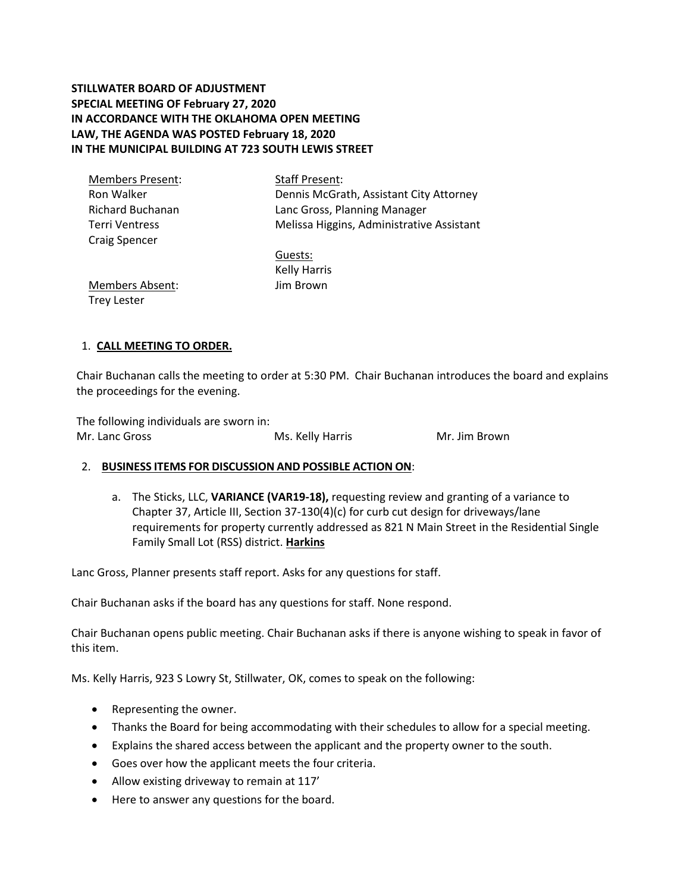**STILLWATER BOARD OF ADJUSTMENT SPECIAL MEETING OF February 27, 2020 IN ACCORDANCE WITH THE OKLAHOMA OPEN MEETING LAW, THE AGENDA WAS POSTED February 18, 2020 IN THE MUNICIPAL BUILDING AT 723 SOUTH LEWIS STREET**

| <b>Members Present:</b> | <b>Staff Present:</b>                     |
|-------------------------|-------------------------------------------|
| Ron Walker              | Dennis McGrath, Assistant City Attorney   |
| <b>Richard Buchanan</b> | Lanc Gross, Planning Manager              |
| <b>Terri Ventress</b>   | Melissa Higgins, Administrative Assistant |
| <b>Craig Spencer</b>    |                                           |
|                         | Guests:                                   |
|                         | <b>Kelly Harris</b>                       |
| <b>Members Absent:</b>  | Jim Brown                                 |
| <b>Trey Lester</b>      |                                           |

# 1. **CALL MEETING TO ORDER.**

Chair Buchanan calls the meeting to order at 5:30 PM. Chair Buchanan introduces the board and explains the proceedings for the evening.

The following individuals are sworn in: Mr. Lanc Gross Ms. Kelly Harris Mr. Jim Brown

# 2. **BUSINESS ITEMS FOR DISCUSSION AND POSSIBLE ACTION ON**:

a. The Sticks, LLC, **VARIANCE (VAR19-18),** requesting review and granting of a variance to Chapter 37, Article III, Section 37-130(4)(c) for curb cut design for driveways/lane requirements for property currently addressed as 821 N Main Street in the Residential Single Family Small Lot (RSS) district. **Harkins**

Lanc Gross, Planner presents staff report. Asks for any questions for staff.

Chair Buchanan asks if the board has any questions for staff. None respond.

Chair Buchanan opens public meeting. Chair Buchanan asks if there is anyone wishing to speak in favor of this item.

Ms. Kelly Harris, 923 S Lowry St, Stillwater, OK, comes to speak on the following:

- Representing the owner.
- Thanks the Board for being accommodating with their schedules to allow for a special meeting.
- Explains the shared access between the applicant and the property owner to the south.
- Goes over how the applicant meets the four criteria.
- Allow existing driveway to remain at 117'
- Here to answer any questions for the board.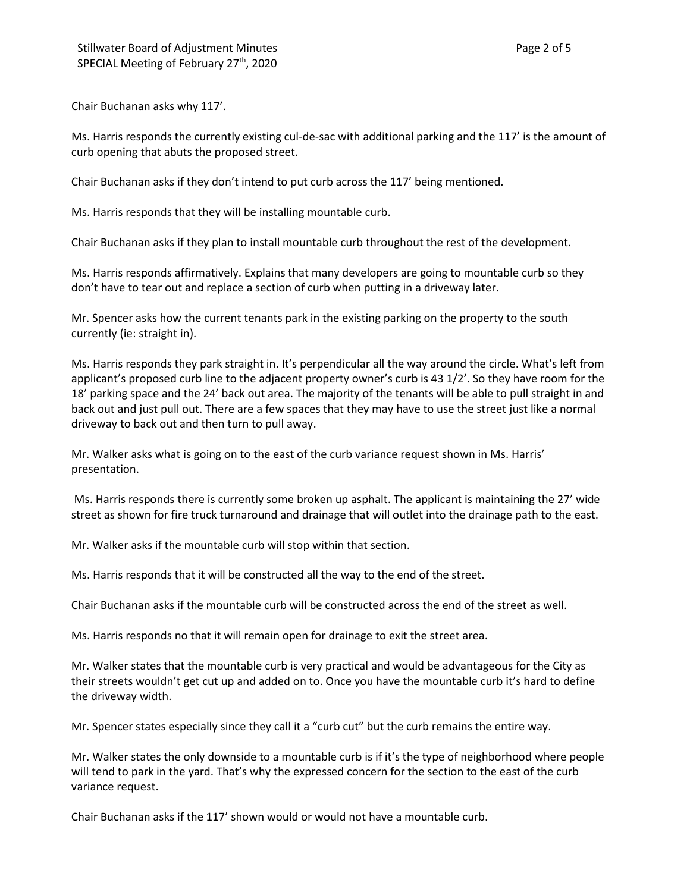Chair Buchanan asks why 117'.

Ms. Harris responds the currently existing cul-de-sac with additional parking and the 117' is the amount of curb opening that abuts the proposed street.

Chair Buchanan asks if they don't intend to put curb across the 117' being mentioned.

Ms. Harris responds that they will be installing mountable curb.

Chair Buchanan asks if they plan to install mountable curb throughout the rest of the development.

Ms. Harris responds affirmatively. Explains that many developers are going to mountable curb so they don't have to tear out and replace a section of curb when putting in a driveway later.

Mr. Spencer asks how the current tenants park in the existing parking on the property to the south currently (ie: straight in).

Ms. Harris responds they park straight in. It's perpendicular all the way around the circle. What's left from applicant's proposed curb line to the adjacent property owner's curb is 43 1/2'. So they have room for the 18' parking space and the 24' back out area. The majority of the tenants will be able to pull straight in and back out and just pull out. There are a few spaces that they may have to use the street just like a normal driveway to back out and then turn to pull away.

Mr. Walker asks what is going on to the east of the curb variance request shown in Ms. Harris' presentation.

Ms. Harris responds there is currently some broken up asphalt. The applicant is maintaining the 27' wide street as shown for fire truck turnaround and drainage that will outlet into the drainage path to the east.

Mr. Walker asks if the mountable curb will stop within that section.

Ms. Harris responds that it will be constructed all the way to the end of the street.

Chair Buchanan asks if the mountable curb will be constructed across the end of the street as well.

Ms. Harris responds no that it will remain open for drainage to exit the street area.

Mr. Walker states that the mountable curb is very practical and would be advantageous for the City as their streets wouldn't get cut up and added on to. Once you have the mountable curb it's hard to define the driveway width.

Mr. Spencer states especially since they call it a "curb cut" but the curb remains the entire way.

Mr. Walker states the only downside to a mountable curb is if it's the type of neighborhood where people will tend to park in the yard. That's why the expressed concern for the section to the east of the curb variance request.

Chair Buchanan asks if the 117' shown would or would not have a mountable curb.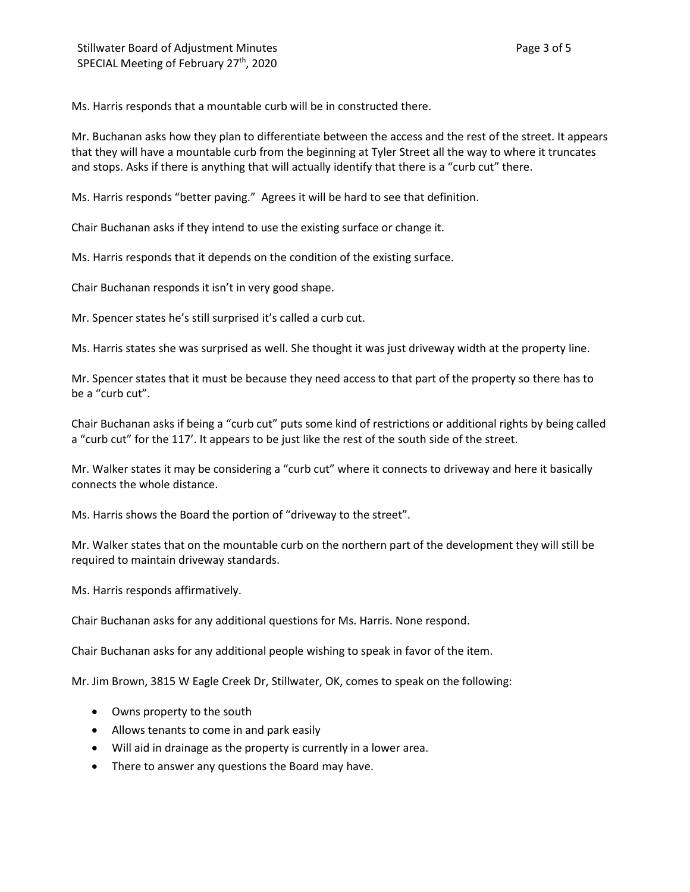Ms. Harris responds that a mountable curb will be in constructed there.

Mr. Buchanan asks how they plan to differentiate between the access and the rest of the street. It appears that they will have a mountable curb from the beginning at Tyler Street all the way to where it truncates and stops. Asks if there is anything that will actually identify that there is a "curb cut" there.

Ms. Harris responds "better paving." Agrees it will be hard to see that definition.

Chair Buchanan asks if they intend to use the existing surface or change it.

Ms. Harris responds that it depends on the condition of the existing surface.

Chair Buchanan responds it isn't in very good shape.

Mr. Spencer states he's still surprised it's called a curb cut.

Ms. Harris states she was surprised as well. She thought it was just driveway width at the property line.

Mr. Spencer states that it must be because they need access to that part of the property so there has to be a "curb cut".

Chair Buchanan asks if being a "curb cut" puts some kind of restrictions or additional rights by being called a "curb cut" for the 117'. It appears to be just like the rest of the south side of the street.

Mr. Walker states it may be considering a "curb cut" where it connects to driveway and here it basically connects the whole distance.

Ms. Harris shows the Board the portion of "driveway to the street".

Mr. Walker states that on the mountable curb on the northern part of the development they will still be required to maintain driveway standards.

Ms. Harris responds affirmatively.

Chair Buchanan asks for any additional questions for Ms. Harris. None respond.

Chair Buchanan asks for any additional people wishing to speak in favor of the item.

Mr. Jim Brown, 3815 W Eagle Creek Dr, Stillwater, OK, comes to speak on the following:

- Owns property to the south
- Allows tenants to come in and park easily
- Will aid in drainage as the property is currently in a lower area.
- There to answer any questions the Board may have.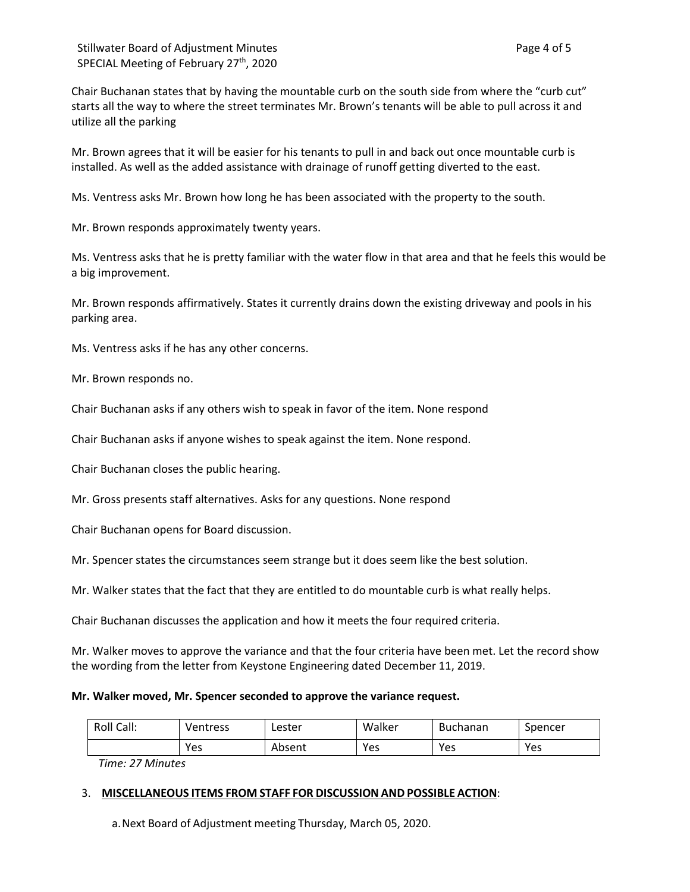Chair Buchanan states that by having the mountable curb on the south side from where the "curb cut" starts all the way to where the street terminates Mr. Brown's tenants will be able to pull across it and utilize all the parking

Mr. Brown agrees that it will be easier for his tenants to pull in and back out once mountable curb is installed. As well as the added assistance with drainage of runoff getting diverted to the east.

Ms. Ventress asks Mr. Brown how long he has been associated with the property to the south.

Mr. Brown responds approximately twenty years.

Ms. Ventress asks that he is pretty familiar with the water flow in that area and that he feels this would be a big improvement.

Mr. Brown responds affirmatively. States it currently drains down the existing driveway and pools in his parking area.

Ms. Ventress asks if he has any other concerns.

Mr. Brown responds no.

Chair Buchanan asks if any others wish to speak in favor of the item. None respond

Chair Buchanan asks if anyone wishes to speak against the item. None respond.

Chair Buchanan closes the public hearing.

Mr. Gross presents staff alternatives. Asks for any questions. None respond

Chair Buchanan opens for Board discussion.

Mr. Spencer states the circumstances seem strange but it does seem like the best solution.

Mr. Walker states that the fact that they are entitled to do mountable curb is what really helps.

Chair Buchanan discusses the application and how it meets the four required criteria.

Mr. Walker moves to approve the variance and that the four criteria have been met. Let the record show the wording from the letter from Keystone Engineering dated December 11, 2019.

#### **Mr. Walker moved, Mr. Spencer seconded to approve the variance request.**

| Roll<br>Call: | Ventress | Lester | Walker | <b>Buchanan</b> | Spencer |
|---------------|----------|--------|--------|-----------------|---------|
|               | Yes      | Absent | Yes    | Yes             | Yes     |

*Time: 27 Minutes*

### 3. **MISCELLANEOUS ITEMS FROM STAFF FOR DISCUSSION AND POSSIBLE ACTION**:

a.Next Board of Adjustment meeting Thursday, March 05, 2020.